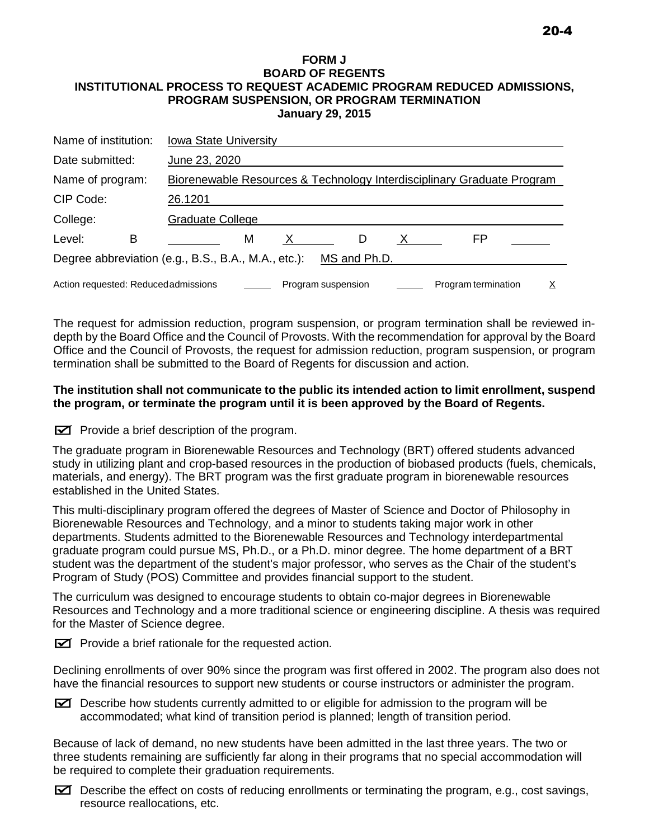## **FORM J BOARD OF REGENTS INSTITUTIONAL PROCESS TO REQUEST ACADEMIC PROGRAM REDUCED ADMISSIONS, PROGRAM SUSPENSION, OR PROGRAM TERMINATION January 29, 2015**

| Name of institution:                                                                  |   | <b>Iowa State University</b>                                           |   |  |  |   |  |  |    |  |  |  |
|---------------------------------------------------------------------------------------|---|------------------------------------------------------------------------|---|--|--|---|--|--|----|--|--|--|
| Date submitted:                                                                       |   | June 23, 2020                                                          |   |  |  |   |  |  |    |  |  |  |
| Name of program:                                                                      |   | Biorenewable Resources & Technology Interdisciplinary Graduate Program |   |  |  |   |  |  |    |  |  |  |
| CIP Code:                                                                             |   | 26.1201                                                                |   |  |  |   |  |  |    |  |  |  |
| College:                                                                              |   | <b>Graduate College</b>                                                |   |  |  |   |  |  |    |  |  |  |
| Level:                                                                                | в |                                                                        | M |  |  | D |  |  | FP |  |  |  |
| Degree abbreviation (e.g., B.S., B.A., M.A., etc.):<br>MS and Ph.D.                   |   |                                                                        |   |  |  |   |  |  |    |  |  |  |
| Action requested: Reducedadmissions<br>Program termination<br>Program suspension<br>х |   |                                                                        |   |  |  |   |  |  |    |  |  |  |

The request for admission reduction, program suspension, or program termination shall be reviewed indepth by the Board Office and the Council of Provosts. With the recommendation for approval by the Board Office and the Council of Provosts, the request for admission reduction, program suspension, or program termination shall be submitted to the Board of Regents for discussion and action.

## **The institution shall not communicate to the public its intended action to limit enrollment, suspend the program, or terminate the program until it is been approved by the Board of Regents.**

 $\boxtimes$  Provide a brief description of the program.

The graduate program in Biorenewable Resources and Technology (BRT) offered students advanced study in utilizing plant and crop-based resources in the production of biobased products (fuels, chemicals, materials, and energy). The BRT program was the first graduate program in biorenewable resources established in the United States.

This multi-disciplinary program offered the degrees of Master of Science and Doctor of Philosophy in Biorenewable Resources and Technology, and a minor to students taking major work in other departments. Students admitted to the Biorenewable Resources and Technology interdepartmental graduate program could pursue MS, Ph.D., or a Ph.D. minor degree. The home department of a BRT student was the department of the student's major professor, who serves as the Chair of the student's Program of Study (POS) Committee and provides financial support to the student.

The curriculum was designed to encourage students to obtain co-major degrees in Biorenewable Resources and Technology and a more traditional science or engineering discipline. A thesis was required for the Master of Science degree.

 $\triangleright$  Provide a brief rationale for the requested action.

Declining enrollments of over 90% since the program was first offered in 2002. The program also does not have the financial resources to support new students or course instructors or administer the program.

 $\Xi$  Describe how students currently admitted to or eligible for admission to the program will be accommodated; what kind of transition period is planned; length of transition period.

Because of lack of demand, no new students have been admitted in the last three years. The two or three students remaining are sufficiently far along in their programs that no special accommodation will be required to complete their graduation requirements.

 $\Xi$  Describe the effect on costs of reducing enrollments or terminating the program, e.g., cost savings, resource reallocations, etc.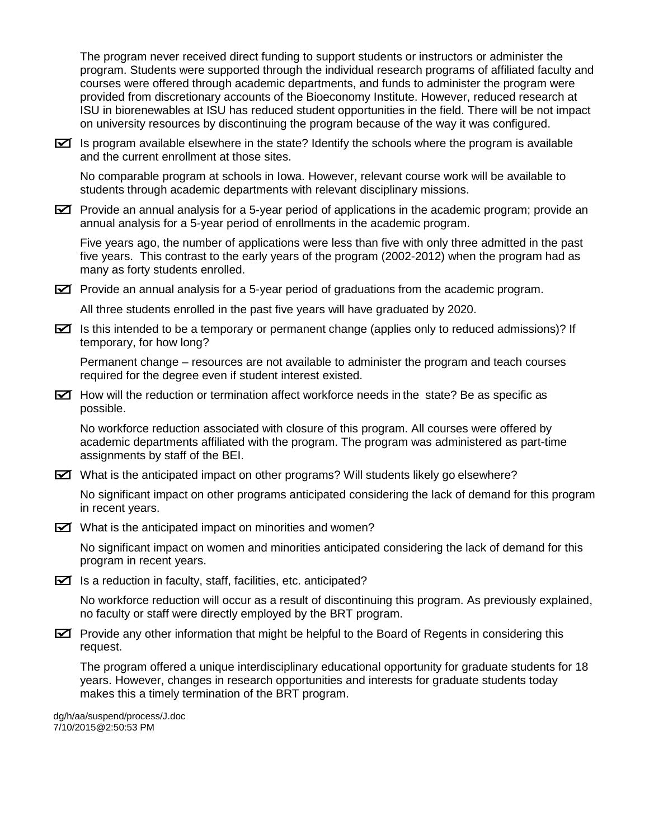The program never received direct funding to support students or instructors or administer the program. Students were supported through the individual research programs of affiliated faculty and courses were offered through academic departments, and funds to administer the program were provided from discretionary accounts of the Bioeconomy Institute. However, reduced research at ISU in biorenewables at ISU has reduced student opportunities in the field. There will be not impact on university resources by discontinuing the program because of the way it was configured.

 $\triangleright$  Is program available elsewhere in the state? Identify the schools where the program is available and the current enrollment at those sites.

No comparable program at schools in Iowa. However, relevant course work will be available to students through academic departments with relevant disciplinary missions.

 $\Xi$  Provide an annual analysis for a 5-year period of applications in the academic program; provide an annual analysis for a 5-year period of enrollments in the academic program.

Five years ago, the number of applications were less than five with only three admitted in the past five years. This contrast to the early years of the program (2002-2012) when the program had as many as forty students enrolled.

 $\Xi$  Provide an annual analysis for a 5-year period of graduations from the academic program.

All three students enrolled in the past five years will have graduated by 2020.

 $\Xi$  Is this intended to be a temporary or permanent change (applies only to reduced admissions)? If temporary, for how long?

Permanent change – resources are not available to administer the program and teach courses required for the degree even if student interest existed.

 $\boxtimes$  How will the reduction or termination affect workforce needs in the state? Be as specific as possible.

No workforce reduction associated with closure of this program. All courses were offered by academic departments affiliated with the program. The program was administered as part-time assignments by staff of the BEI.

 $\Xi$  What is the anticipated impact on other programs? Will students likely go elsewhere?

No significant impact on other programs anticipated considering the lack of demand for this program in recent years.

 $\triangleright$  What is the anticipated impact on minorities and women?

No significant impact on women and minorities anticipated considering the lack of demand for this program in recent years.

 $\triangleright$  Is a reduction in faculty, staff, facilities, etc. anticipated?

No workforce reduction will occur as a result of discontinuing this program. As previously explained, no faculty or staff were directly employed by the BRT program.

 $\triangleright$  Provide any other information that might be helpful to the Board of Regents in considering this request.

The program offered a unique interdisciplinary educational opportunity for graduate students for 18 years. However, changes in research opportunities and interests for graduate students today makes this a timely termination of the BRT program.

dg/h/aa/suspend/process/J.doc 7/10/2015@2:50:53 PM